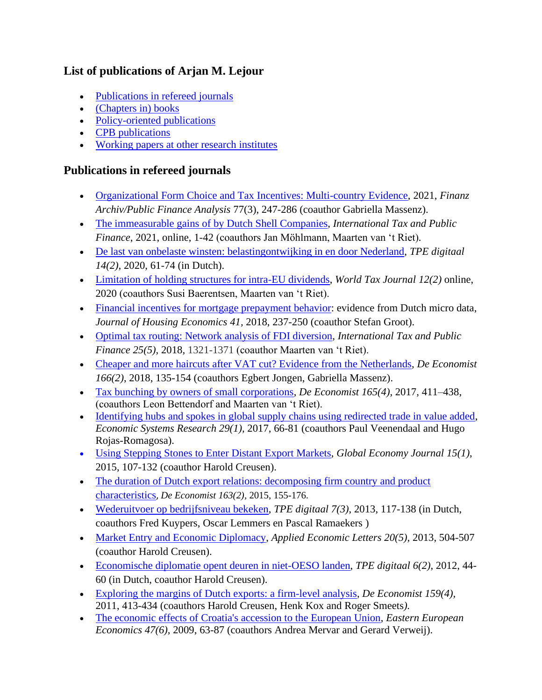### **List of publications of Arjan M. Lejour**

- [Publications in refereed journals](#page-0-0)
- (Chapters in) books
- Policy-oriented publications
- **CPB** publications
- [Working papers at other research institutes](#page-11-0)

#### <span id="page-0-0"></span>**Publications in refereed journals**

- Organizational Form Choice [and Tax Incentives: Multi-country Evidence,](https://www.mohrsiebeck.com/en/article/organizational-form-choice-and-tax-incentives-multi-country-evidence-101628fa-2021-0010?no_cache=1) 2021, *Finanz Archiv/Public Finance Analysis* 77(3), 247-286 (coauthor Gabriella Massenz).
- [The immeasurable gains of by Dutch Shell Companies,](https://link.springer.com/article/10.1007/s10797-021-09669-y) *International Tax and Public Finance*, 2021, online, 1-42 (coauthors Jan Möhlmann, Maarten van 't Riet)*.*
- [De last van onbelaste winsten: belastingontwijking in en door Nederland,](http://tpedigitaal.nl/sites/default/files/bestand/lejour%20def-30-juni-2020.pdf) *TPE digitaal 14(2)*, 2020, 61-74 (in Dutch).
- [Limitation of](https://www.ibfd.org/IBFD-Products/Journal-Articles/World-Tax-Journal/collections/wtj/html/wtj_2020_02_e2_1.html) holding structures for intra-EU dividends, *World Tax Journal 12(2)* online, 2020 (coauthors Susi Baerentsen, Maarten van 't Riet).
- [Financial incentives for mortgage prepayment behavior:](https://www.sciencedirect.com/science/article/pii/S1051137717301328) evidence from Dutch micro data, *Journal of Housing Economics 41,* 2018, 237-250 (coauthor Stefan Groot).
- [Optimal tax routing: Network analysis of FDI diversion,](https://link.springer.com/article/10.1007/s10797-018-9491-6) *International Tax and Public Finance 25(5)*, 2018, 1321-1371 (coauthor Maarten van 't Riet).
- [Cheaper and more haircuts after VAT cut? Evidence from the Netherlands,](https://link.springer.com/article/10.1007/s10645-018-9315-1?wt_mc=Internal.Event.1.SEM.ArticleAuthorAssignedToIssue) *De Economist 166(2)*, 2018, 135-154 (coauthors Egbert Jongen, Gabriella Massenz).
- [Tax bunching by owners of small corporations,](https://link.springer.com/epdf/10.1007/s10645-017-9303-x?author_access_token=5fM4w3N-LtjZ8eCeCgiK1_e4RwlQNchNByi7wbcMAY4b8cYvUf4DwjU4ENQl4ihxKJ3d6b7T84-QO_PVXfCpmpBtybuZMQpiMvgvpLUmi9QFxqL2Kq5T24nlBV9h_5hoGfB0PTcxmA5YoHWw9OIEXg%3D%3D) *De Economist 165(4),* 2017, 411–438, (coauthors Leon Bettendorf and Maarten van 't Riet).
- [Identifying hubs and spokes in global supply chains using redirected trade in value added,](http://www.tandfonline.com/doi/full/10.1080/09535314.2017.1282436) *Economic Systems Research 29(1),* 2017, 66-81 (coauthors Paul Veenendaal and Hugo Rojas-Romagosa).
- [Using Stepping Stones to Enter Distant Export Markets,](http://www.degruyter.com/view/j/gej.2015.15.issue-1/gej-2014-0040/gej-2014-0040.xml?format=INT) *Global Economy Journal 15(1)*, 2015, 107-132 (coauthor Harold Creusen).
- The duration of Dutch export relations: decomposing firm country and product [characteristics](http://link.springer.com/article/10.1007/s10645-014-9242-8?sa_campaign=email/event/articleAuthor/onlineFirst), *De Economist 163(2),* 2015, 155-176.
- [Wederuitvoer op bedrijfsniveau bekeken,](http://www.tpedigitaal.nl/assets/static/Kuypers-Lejour-Lemmers-Ramaekers-3-2013.pdf) *TPE digitaal 7(3)*, 2013, 117-138 (in Dutch, coauthors Fred Kuypers, Oscar Lemmers en Pascal Ramaekers )
- [Market Entry and Economic Diplomacy,](http://www.tandfonline.com/doi/abs/10.1080/13504851.2012.714066) *Applied Economic Letters 20(5),* 2013, 504-507 (coauthor Harold Creusen).
- [Economische diplomatie opent deuren in niet-OESO landen,](http://www.tpedigitaal.nl/) *TPE digitaal 6(2)*, 2012, 44- 60 (in Dutch, coauthor Harold Creusen).
- [Exploring the margins of Dutch exports: a firm-level analysis,](http://www.springerlink.com/content/125839p4v6685733/) *De Economist 159(4),* 2011, 413-434 (coauthors Harold Creusen, Henk Kox and Roger Smeets*).*
- [The economic effects of Croatia's accession to the European Union,](http://www.mesharpe.com/mall/results1.asp?ACR=eee) *Eastern European Economics 47(6)*, 2009, 63-87 (coauthors Andrea Mervar and Gerard Verweij).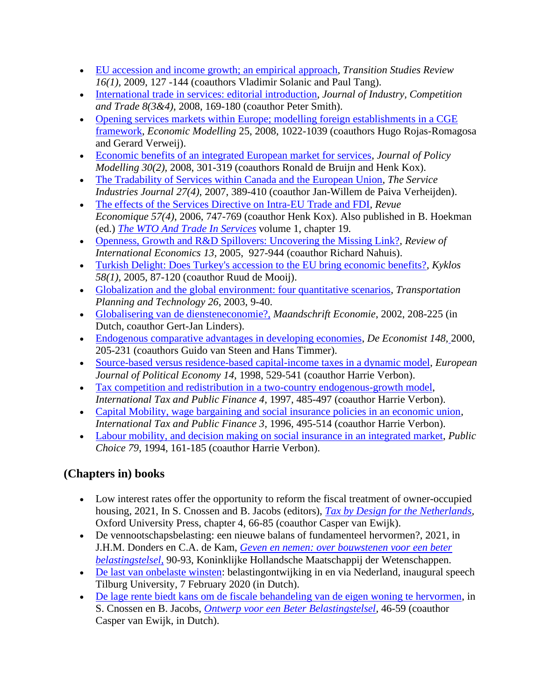- [EU accession and income growth; an empirical approach,](http://www.springerlink.com/content/9x8081h305635k84/?p=e7ba3b32277246edb78fb868049a038b&pi=2) *Transition Studies Review 16(1),* 2009, 127 -144 (coauthors Vladimir Solanic and Paul Tang).
- International [trade in services: editorial introduction,](http://dx.doi.org/10.1007/s10842-008-0037-y) *Journal of Industry, Competition and Trade 8(3&4)*, 2008, 169-180 (coauthor Peter Smith).
- [Opening services markets within Europe; modelling foreign establishments in a CGE](http://dx.doi.org/10.1016/j.econmod.2008.01.007)  [framework,](http://dx.doi.org/10.1016/j.econmod.2008.01.007) *Economic Modelling* 25, 2008, 1022-1039 (coauthors Hugo Rojas-Romagosa and Gerard Verweij).
- [Economic benefits of an integrated European market for services,](http://www.sciencedirect.com/science?_ob=ArticleURL&_udi=B6V82-4NS366S-1&_user=452862&_coverDate=05%2F18%2F2007&_rdoc=3&_fmt=full&_orig=browse&_srch=doc-info%28%23toc%235858%239999%23999999999%2399999%23FLA%23display%23Articles%29&_cdi=5858&_sort=d&_docanchor=&view=c&_ct=41&_acct=C000021641&_version=1&_urlVersion=0&_userid=452862&md5=0f4020e33ab0ef29bc55da071a8d896c) *Journal of Policy Modelling 30(2),* 2008, 301-319 (coauthors Ronald de Bruijn and Henk Kox).
- [The Tradability of Services within Canada and the European Union,](http://www.informaworld.com/smpp/content~content=a779310187~db=all~order=page) *The Service Industries Journal 27(4)*, 2007, 389-410 (coauthor Jan-Willem de Paiva Verheijden).
- [The effects of the Services Directive on Intra-EU Trade and FDI,](http://www.cairn.info/revue-economique-2006-4-p-747.htm) *Revue Economique 57(4)*, 2006, 747-769 (coauthor Henk Kox). Also published in B. Hoekman (ed.) *[The WTO And Trade In Services](http://www.e-elgar.com/bookentry_main.lasso?id=2984)* volume 1, chapter 19*.*
- [Openness, Growth and R&D Spillovers: Uncovering the Missing Link?,](http://www3.interscience.wiley.com/journal/118662719/abstract) *Review of International Economics 13,* 2005, 927-944 (coauthor Richard Nahuis).
- [Turkish Delight: Does Turkey's accession to the EU bring economic benefits?,](http://onlinelibrary.wiley.com/doi/10.1111/j.0023-5962.2005.00279.x/abstract) *Kyklos 58(1),* 2005, 87-120 (coauthor Ruud de Mooij).
- [Globalization and the global environment: four quantitative scenarios,](http://www.ingentaconnect.com/content/routledg/gtpt/2003/00000026/00000001/art00002) *Transportation Planning and Technology 26*, 2003, 9-40.
- [Globalisering van de diensteneconomie?,](http://personal.vu.nl/g.m.linders/research/Maandschrift_website.pdf) *Maandschrift Economie*, 2002, 208-225 (in Dutch, coauthor Gert-Jan Linders).
- [Endogenous comparative advantages in developing economies,](http://www.springerlink.com/content/p6mu7073q43931q0/) *De Economist 148,* 2000, 205-231 (coauthors Guido van Steen and Hans Timmer).
- [Source-based versus residence-based capital-income taxes in a dynamic model,](http://www.sciencedirect.com/science?_ob=ArticleURL&_udi=B6V97-3V5YW7N-N&_user=452862&_coverDate=08%2F31%2F1998&_rdoc=1&_fmt=high&_orig=gateway&_origin=gateway&_sort=d&_docanchor=&view=c&_searchStrId=1710484886&_rerunOrigin=google&_acct=C000021641&_version) *European Journal of Political Economy 14*, 1998, 529-541 (coauthor Harrie Verbon).
- [Tax competition and redistribution in a two-country endogenous-growth model,](http://www.springerlink.com/content/m5n4j12477622220/) *International Tax and Public Finance 4*, 1997, 485-497 (coauthor Harrie Verbon).
- [Capital Mobility, wage bargaining and social insurance policies in an economic union,](http://kapis.www.wkap.nl/oasis.htm/123798) *International Tax and Public Finance 3*, 1996, 495-514 (coauthor Harrie Verbon).
- [Labour mobility, and decision making on social insurance in an integrated market,](http://www.jstor.org/pss/30026869) *Public Choice 79*, 1994, 161-185 (coauthor Harrie Verbon).

# **(Chapters in) books**

- Low interest rates offer the opportunity to reform the fiscal treatment of owner-occupied housing, 2021, In S. Cnossen and B. Jacobs (editors), *[Tax by Design for the Netherlands,](https://global.oup.com/academic/product/tax-by-design-for-the-netherlands-9780192855244?facet_narrowbypubdate_facet=Next%203%20months&facet_narrowbybinding_facet=Hardback&lang=en&cc=in)* Oxford University Press, chapter 4, 66-85 (coauthor Casper van Ewijk).
- De vennootschapsbelasting: een nieuwe balans of fundamenteel hervormen?, 2021, in J.H.M. Donders en C.A. de Kam, *[Geven en nemen: over bouwstenen voor een beter](https://khmw.nl/drees-forum-deel-7-geven-en-nemen-door-jan-donders-en-flip-de-kam/)  [belastingstelsel](https://khmw.nl/drees-forum-deel-7-geven-en-nemen-door-jan-donders-en-flip-de-kam/)*, 90-93, Koninklijke Hollandsche Maatschappij der Wetenschappen.
- [De last van onbelaste winsten:](https://econpapers.repec.org/paper/tiutiutis/61267942-51aa-4180-898e-e0c12c1002fe.htm) belastingontwijking in en via Nederland, inaugural speech Tilburg University, 7 February 2020 (in Dutch).
- [De lage rente biedt kans om de fiscale behandeling van de eigen woning te hervormen,](de-lage-rente-biedt-kans-om-de-fiscale-behandeling-van-de-eigen-woning-te-hervormen) in S. Cnossen en B. Jacobs, *[Ontwerp voor een Beter Belastingstelsel,](https://esb.nu/events/overig/20056607/boek-ontwerp-voor-een-beter-belastingstelsel)* 46-59 (coauthor Casper van Ewijk, in Dutch).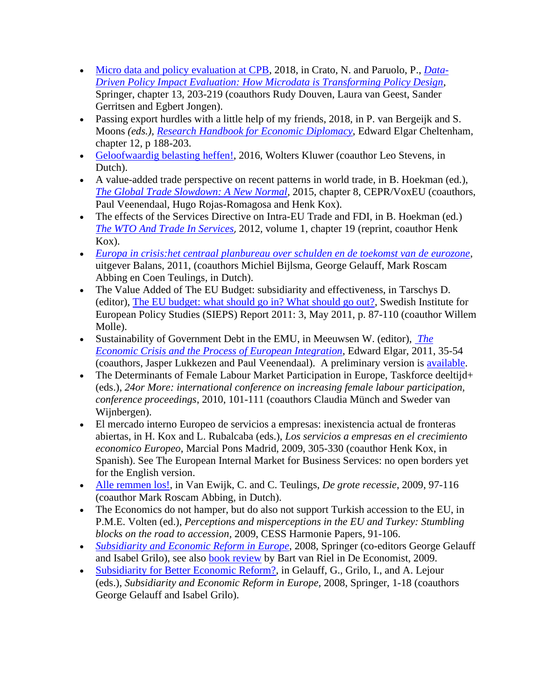- [Micro data and policy evaluation at CPB,](https://link.springer.com/chapter/10.1007/978-3-319-78461-8_13) 2018, in Crato, N. and Paruolo, P., *[Data-](https://link.springer.com/book/10.1007/978-3-319-78461-8)[Driven Policy Impact Evaluation: How Microdata is Transforming Policy Design](https://link.springer.com/book/10.1007/978-3-319-78461-8)*, Springer, chapter 13, 203-219 (coauthors Rudy Douven, Laura van Geest, Sander Gerritsen and Egbert Jongen).
- Passing export hurdles with a little help of my friends, 2018, in P. van Bergeijk and S. Moons *(eds.), [Research Handbook for Economic Diplomacy](https://www.e-elgar.com/shop/research-handbook-on-economic-diplomacy)*, Edward Elgar Cheltenham, chapter 12, p 188-203.
- [Geloofwaardig belasting heffen!,](http://www.wolterskluwer.nl/shop/boek/geloofwaardig-belasting-heffen/NPGELBEHF/) 2016, Wolters Kluwer (coauthor Leo Stevens, in Dutch).
- A value-added trade perspective on recent patterns in world trade, in B. Hoekman (ed.), *[The Global Trade Slowdown: A New Normal,](http://www.voxeu.org/content/global-trade-slowdown-new-normal)* 2015, chapter 8, CEPR/VoxEU (coauthors, Paul Veenendaal, Hugo Rojas-Romagosa and Henk Kox).
- The effects of the Services Directive on Intra-EU Trade and FDI, in B. Hoekman (ed.) *[The WTO And Trade In Services](http://www.e-elgar.com/bookentry_main.lasso?id=2984)*, 2012*,* volume 1, chapter 19 (reprint, coauthor Henk Kox).
- *[Europa in crisis:het centraal planbureau over schulden en de toekomst van de eurozone](http://www.cpb.nl/publicatie/europa-in-crisis)*, uitgever Balans, 2011, (coauthors Michiel Bijlsma, George Gelauff, Mark Roscam Abbing en Coen Teulings, in Dutch).
- The Value Added of The EU Budget: subsidiarity and effectiveness, in Tarschys D. (editor), [The EU budget: what should go in? What should go out?,](http://www.sieps.se/sites/default/files/2011_3.pdf) Swedish Institute for European Policy Studies (SIEPS) Report 2011: 3, May 2011, p. 87-110 (coauthor Willem Molle).
- Sustainability of Government Debt in the EMU, in Meeuwsen W. (editor), *[The](http://www.e-elgar.com/bookentry_main.lasso?id=14130&breadcrumlink=&breadcrum=&sub_values=&site_Bus_Man=&site_dev=&site_eco=&site_env_eco=&site_inn_tech=&site_int_pol=&site_law=&site_pub_soc=)  [Economic Crisis and the Process of European Integration](http://www.e-elgar.com/bookentry_main.lasso?id=14130&breadcrumlink=&breadcrum=&sub_values=&site_Bus_Man=&site_dev=&site_eco=&site_env_eco=&site_inn_tech=&site_int_pol=&site_law=&site_pub_soc=)*, Edward Elgar, 2011, 35-54 (coauthors, Jasper Lukkezen and Paul Veenendaal). A preliminary version is [available.](http://www.euroframe.org/fileadmin/user_upload/euroframe/docs/2010/EUROF10_Lejour_etal.pdf)
- The Determinants of Female Labour Market Participation in Europe, Taskforce deeltijd+ (eds.), *24or More: international conference on increasing female labour participation, conference proceedings*, 2010, 101-111 (coauthors Claudia Münch and Sweder van Wijnbergen).
- El mercado interno Europeo de servicios a empresas: inexistencia actual de fronteras abiertas, in H. Kox and L. Rubalcaba (eds.), *Los servicios a empresas en el crecimiento economico Europeo*, Marcial Pons Madrid, 2009, 305-330 (coauthor Henk Kox, in Spanish). See The European Internal Market for Business Services: no open borders yet for the English version.
- [Alle remmen los!,](http://www.degroterecessie.nl/hoofdstuk07.htm) in Van Ewijk, C. and C. Teulings, *De grote recessie*, 2009, 97-116 (coauthor Mark Roscam Abbing, in Dutch).
- The Economics do not hamper, but do also not support Turkish accession to the EU, in P.M.E. Volten (ed.), *Perceptions and misperceptions in the EU and Turkey: Stumbling blocks on the road to accession,* 2009, CESS Harmonie Papers, 91-106.
- *[Subsidiarity and Economic Reform in Europe](http://www.springer.com/978-3-540-77245-3)*, 2008, Springer (co-editors George Gelauff and Isabel Grilo), see also [book review](http://www.springerlink.com/content/0955623404445243/fulltext.pdf) by Bart van Riel in De Economist, 2009.
- [Subsidiarity for Better Economic Reform?,](http://www.cpb.nl/sites/default/files/publicaties/download/subsidiarity-and-economic-reform-europe.pdf) in Gelauff, G., Grilo, I., and A. Lejour (eds.), *Subsidiarity and Economic Reform in Europe,* 2008, Springer, 1-18 (coauthors George Gelauff and Isabel Grilo).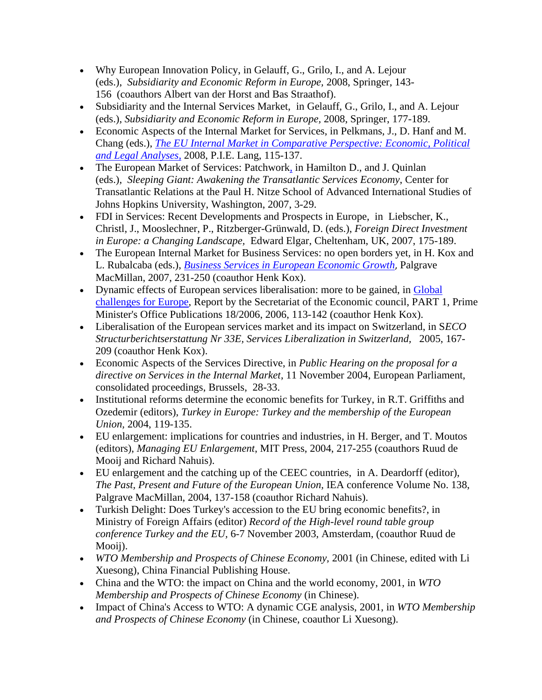- Why European Innovation Policy, in Gelauff, G., Grilo, I., and A. Lejour (eds.), *Subsidiarity and Economic Reform in Europe,* 2008, Springer, 143- 156 (coauthors Albert van der Horst and Bas Straathof).
- Subsidiarity and the Internal Services Market, in Gelauff, G., Grilo, I., and A. Lejour (eds.), *Subsidiarity and Economic Reform in Europe,* 2008, Springer, 177-189.
- Economic Aspects of the Internal Market for Services, in Pelkmans, J., D. Hanf and M. Chang (eds.), *[The EU Internal Market in Comparative Perspective: Economic, Political](http://www.peterlang.com/index.cfm?vID=21424&vLang=E&vHR=1&vUR=3&vUUR=4)  [and Legal Analyses](http://www.peterlang.com/index.cfm?vID=21424&vLang=E&vHR=1&vUR=3&vUUR=4)*, 2008, P.I.E. Lang, 115-137.
- The European Market of Services: Patchwork, in Hamilton D., and J. Quinlan (eds.), *Sleeping Giant: Awakening the Transatlantic Services Economy*, Center for Transatlantic Relations at the Paul H. Nitze School of Advanced International Studies of Johns Hopkins University, Washington, 2007, 3-29.
- FDI in Services: Recent Developments and Prospects in Europe, in Liebscher, K., Christl, J., Mooslechner, P., Ritzberger-Grünwald, D. (eds.), *Foreign Direct Investment in Europe: a Changing Landscape,* Edward Elgar, Cheltenham, UK, 2007, 175-189.
- The European Internal Market for Business Services: no open borders yet, in H. Kox and L. Rubalcaba (eds.), *[Business Services in European Economic Growth](http://www.palgrave.com/products/title.aspx?PID=275994)*, Palgrave MacMillan, 2007, 231-250 (coauthor Henk Kox).
- Dynamic effects of European services liberalisation: more to be gained, in Global [challenges for Europe,](http://www.vnk.fi/hankkeet/talousneuvosto/tyo-kokoukset/globalisaatioselvitys-9-2006/artikkelit/Kox_%26_Lejour_06-09-20.pdf) Report by the Secretariat of the Economic council, PART 1, Prime Minister's Office Publications 18/2006, 2006, 113-142 (coauthor Henk Kox).
- Liberalisation of the European services market and its impact on Switzerland, in S*ECO Structurberichtserstattung Nr 33E, Services Liberalization in Switzerland,* 2005, 167- 209 (coauthor Henk Kox).
- Economic Aspects of the Services Directive, in *Public Hearing on the proposal for a directive on Services in the Internal Market*, 11 November 2004, European Parliament, consolidated proceedings, Brussels, 28-33.
- Institutional reforms determine the economic benefits for Turkey, in R.T. Griffiths and Ozedemir (editors), *Turkey in Europe: Turkey and the membership of the European Union,* 2004, 119-135.
- EU enlargement: implications for countries and industries, in H. Berger, and T. Moutos (editors), *Managing EU Enlargement*, MIT Press, 2004, 217-255 (coauthors Ruud de Mooij and Richard Nahuis).
- EU enlargement and the catching up of the CEEC countries, in A. Deardorff (editor), *The Past, Present and Future of the European Union,* IEA conference Volume No. 138, Palgrave MacMillan, 2004, 137-158 (coauthor Richard Nahuis).
- Turkish Delight: Does Turkey's accession to the EU bring economic benefits?, in Ministry of Foreign Affairs (editor) *Record of the High-level round table group conference Turkey and the EU,* 6-7 November 2003, Amsterdam, (coauthor Ruud de Mooii).
- *WTO Membership and Prospects of Chinese Economy,* 2001 (in Chinese, edited with Li Xuesong), China Financial Publishing House.
- China and the WTO: the impact on China and the world economy, 2001, in *WTO Membership and Prospects of Chinese Economy* (in Chinese).
- Impact of China's Access to WTO: A dynamic CGE analysis, 2001, in *WTO Membership and Prospects of Chinese Economy* (in Chinese, coauthor Li Xuesong).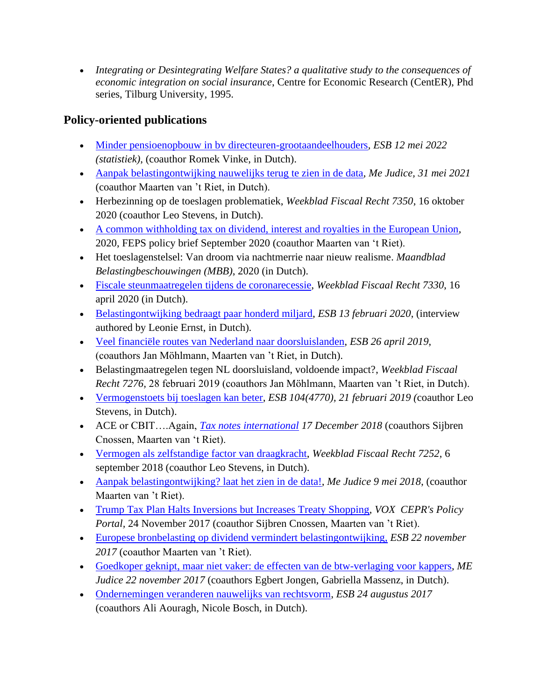• *[Integrating or Desintegrating Welfare States? a qualitative study to the consequences of](http://center.kub.nl/gs/thesis/lejour.html)  [economic integration on social insurance](http://center.kub.nl/gs/thesis/lejour.html)*, [Centre for Economic Research \(CentER\), Phd](http://center.kub.nl/)  [series, Tilburg University,](http://center.kub.nl/) 1995.

### **Policy-oriented publications**

- [Minder pensioenopbouw in bv directeuren-grootaandeelhouders](https://esb.nu/kort/20070494/minder-pensioenopbouw-in-bv-directeuren-grootaandeelhouders)*, ESB 12 mei 2022 (statistiek)*, (coauthor Romek Vinke, in Dutch).
- [Aanpak belastingontwijking nauwelijks terug te zien in de data,](https://www.mejudice.nl/artikelen/detail/aanpak-belastingontwijking-nauwelijks-terug-te-zien-in-de-data) *Me Judice, 31 mei 2021* (coauthor Maarten van 't Riet, in Dutch).
- Herbezinning op de toeslagen problematiek, *Weekblad Fiscaal Recht 7350*, 16 oktober 2020 (coauthor Leo Stevens, in Dutch).
- A common withholding tax [on dividend, interest and royalties in the European Union,](https://www.feps-europe.eu/attachments/publications/feps%20policy%20brief%20common%20withholding%20tax.pdf) 2020, FEPS policy brief September 2020 (coauthor Maarten van 't Riet).
- Het toeslagenstelsel: Van droom via nachtmerrie naar nieuw realisme. *Maandblad Belastingbeschouwingen (MBB)*, 2020 (in Dutch).
- [Fiscale steunmaatregelen tijdens de coronarecessie,](https://www.taxlive.nl/media/4056/wfr_207330.pdf) *Weekblad Fiscaal Recht 7330*, 16 april 2020 (in Dutch).
- [Belastingontwijking bedraagt paar honderd miljard,](https://esb.nu/esb/20057800/belastingontwijking-bedraagt-paar-honderd-miljard) *ESB 13 februari 2020*, (interview authored by Leonie Ernst, in Dutch).
- [Veel financiële routes van Nederland naar doorsluislanden,](https://esb.nu/kort/20052105/veel-financiele-routes-van-nederland-naar-doorsluislanden) *ESB 26 april 2019*, (coauthors Jan Möhlmann, Maarten van 't Riet, in Dutch).
- Belastingmaatregelen tegen NL doorsluisland, voldoende impact?, *Weekblad Fiscaal Recht 7276,* 28 februari 2019 (coauthors Jan Möhlmann, Maarten van 't Riet, in Dutch).
- [Vermogenstoets bij toeslagen kan beter,](https://esb.nu/esb/20049200/vermogenstoets-bij-toeslagen-kan-beter) *ESB 104(4770), 21 februari 2019 (*coauthor Leo Stevens, in Dutch).
- ACE or CBIT….Again, *[Tax notes international](https://www.taxnotes.com/tax-notes-international) 17 December 2018* (coauthors Sijbren Cnossen, Maarten van 't Riet).
- [Vermogen als zelfstandige factor van draagkracht,](https://www.navigator.nl/document/idpassbfed023aab4e49818dcfa289792d4c39/weekblad-voor-fiscaal-recht-vermogen-als-zelfstandige-factor-van-draagkracht) *Weekblad Fiscaal Recht 7252*, 6 september 2018 (coauthor Leo Stevens, in Dutch).
- [Aanpak belastingontwijking?](http://www.mejudice.nl/artikelen/detail/aanpak-belastingontwijking-laat-het-zien-in-de-data) laat het zien in de data!, *Me Judice 9 mei 2018*, (coauthor Maarten van 't Riet).
- [Trump Tax Plan Halts Inversions but Increases Treaty Shopping,](http://voxeu.org/article/trump-tax-plan-halts-inversions-increases-treaty-shopping) *VOX [CEPR's Policy](http://www.voxeu.org/)  [Portal,](http://www.voxeu.org/)* 24 November 2017 (coauthor Sijbren Cnossen, Maarten van 't Riet).
- [Europese bronbelasting op dividend vermindert belastingontwijking,](https://esb.nu/esb/20034498/europese-bronbelasting-op-dividend-vermindert-belastingontwijking) *ESB 22 november 2017* (coauthor Maarten van 't Riet).
- [Goedkoper geknipt, maar niet vaker: de effecten van de btw-verlaging voor kappers,](http://www.mejudice.nl/artikelen/detail/goedkoper-geknipt-maar-niet-vaker-de-effecten-van-de-btwverlaging-voor-kappers) *ME Judice 22 november 2017* (coauthors Egbert Jongen, Gabriella Massenz, in Dutch).
- [Ondernemingen veranderen nauwelijks van rechtsvorm,](https://esb.nu/kort/20030794/ondernemingen-veranderen-nauwelijks-van-rechtsvorm) *ESB 24 augustus 2017* (coauthors Ali Aouragh, Nicole Bosch, in Dutch).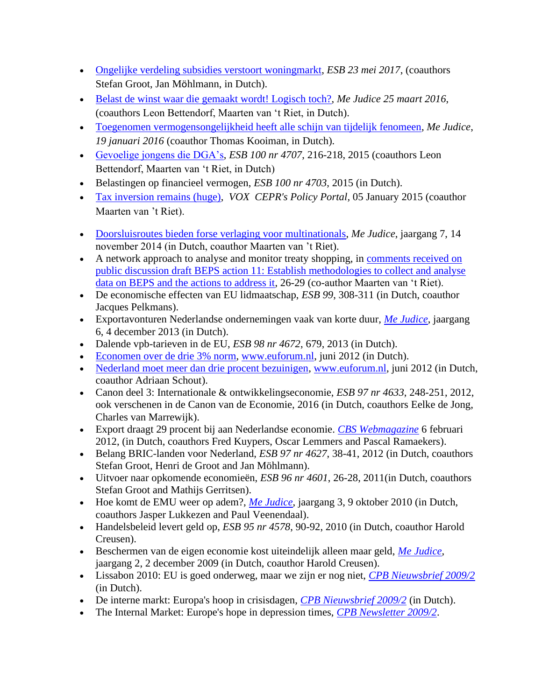- [Ongelijke verdeling subsidies verstoort woningmarkt,](https://www.esb.nu/kort/20027595/ongelijke-verdeling-subsidies-verstoort-woningmarkt) *ESB 23 mei 2017*, (coauthors Stefan Groot, Jan Möhlmann, in Dutch).
- [Belast de winst waar die gemaakt wordt! Logisch toch?,](http://www.mejudice.nl/artikelen/detail/belast-de-winst-waar-die-gemaakt-wordt-logisch-toch/) *Me Judice 25 maart 2016*, (coauthors Leon Bettendorf, Maarten van 't Riet, in Dutch).
- [Toegenomen vermogensongelijkheid heeft alle schijn van tijdelijk fenomeen,](http://www.mejudice.nl/artikelen/detail/toegenomen-vermogensongelijkheid-heeft-alle-schijn-van-tijdelijk-fenomeen) *Me Judice*, *19 januari 2016* (coauthor Thomas Kooiman, in Dutch).
- [Gevoelige jongens die DGA's,](https://esb.nu/esb/20012743/gevoelige-jongens-die-dga-s) *ESB 100 nr 4707*, 216-218, 2015 (coauthors Leon Bettendorf, Maarten van 't Riet, in Dutch)
- Belastingen op financieel vermogen, *ESB 100 nr 4703*, 2015 (in Dutch).
- [Tax inversion remains \(huge\),](http://www.voxeu.org/article/tax-inversion-remains-huge) *VOX [CEPR's Policy Portal,](http://www.voxeu.org/)* 05 January 2015 (coauthor Maarten van 't Riet).
- [Doorsluisroutes bieden forse verlaging voor multinationals,](http://www.mejudice.nl/artikelen/detail/doorsluisroutes-bieden-forse-belastingverlaging-voor-multinationals) *Me Judice*, jaargang 7, 14 november 2014 (in Dutch, coauthor Maarten van 't Riet).
- A network approach to analyse and monitor treaty shopping, in comments received on [public discussion draft BEPS action 11: Establish methodologies to collect and analyse](http://www.oecd.org/tax/tax-policy/comments-published-on-beps-action-11-request-for-input.htm)  [data on BEPS and the actions to address it,](http://www.oecd.org/tax/tax-policy/comments-published-on-beps-action-11-request-for-input.htm) 26-29 (co-author Maarten van 't Riet).
- De economische effecten van EU lidmaatschap, *ESB 99*, 308-311 (in Dutch, coauthor Jacques Pelkmans).
- Exportavonturen Nederlandse ondernemingen vaak van korte duur, *[Me Judice](http://www.mejudice.nl/artikelen/detail/exportavonturen-nederlandse-ondernemingen-vaak-van-korte-duur)*, jaargang 6, 4 december 2013 (in Dutch).
- Dalende vpb-tarieven in de EU, *ESB 98 nr 4672*, 679, 2013 (in Dutch).
- Economen [over de drie 3% norm,](http://www.euforum.nl/nl/economie/opinie/arjan_lejour) [www.euforum.nl,](http://www.euforum.nl/) juni 2012 (in Dutch).
- [Nederland moet meer dan drie procent bezuinigen,](http://www.euforum.nl/nl/economie/opinie/nederland_moet_meer_dan_3_bezuingien) [www.euforum.nl,](http://www.euforum.nl/) juni 2012 (in Dutch, coauthor Adriaan Schout).
- Canon deel 3: Internationale & ontwikkelingseconomie, *ESB 97 nr 4633*, 248-251, 2012, ook verschenen in de Canon van de Economie, 2016 (in Dutch, coauthors Eelke de Jong, Charles van Marrewijk).
- Export draagt 29 procent bij aan Nederlandse economie. *[CBS Webmagazine](http://www.cbs.nl/nl-NL/menu/themas/internationale-handel/publicaties/artikelen/archief/2012/2012-3561-wm.htm)* 6 februari 2012, (in Dutch, coauthors Fred Kuypers, Oscar Lemmers and Pascal Ramaekers).
- Belang BRIC-landen voor Nederland, *ESB 97 nr 4627*, 38-41, 2012 (in Dutch, coauthors Stefan Groot, Henri de Groot and Jan Möhlmann).
- Uitvoer naar opkomende economieën, *ESB 96 nr 4601*, 26-28, 2011(in Dutch, coauthors Stefan Groot and Mathijs Gerritsen).
- Hoe komt de EMU weer op adem?, *[Me Judice](http://www.mejudice.nl/artikel/497/hoe-komt-de-emu-weer-op-adem)*, jaargang 3, 9 oktober 2010 (in Dutch, coauthors Jasper Lukkezen and Paul Veenendaal).
- Handelsbeleid levert geld op, *ESB 95 nr 4578*, 90-92, 2010 (in Dutch, coauthor Harold Creusen).
- Beschermen van de eigen economie kost uiteindelijk alleen maar geld, *[Me Judice](http://www.mejudice.nl/node/326)*, jaargang 2, 2 december 2009 (in Dutch, coauthor Harold Creusen).
- Lissabon 2010: EU is goed onderweg, maar we zijn er nog niet, *[CPB Nieuwsbrief 2009/2](file:///G:/pub/nieuwsbrief/2009_2/)* (in Dutch).
- De interne markt: Europa's hoop in crisisdagen, *[CPB Nieuwsbrief 2009/2](http://www.cpb.nl/sites/default/files/publicaties/download/nieuwsbriefjuni2009.pdf)* (in Dutch).
- The Internal Market: Europe's hope in depression times, *[CPB Newsletter 2009/2](http://www.cpb.nl/sites/default/files/publicaties/download/newsletterjune2009.pdf)*.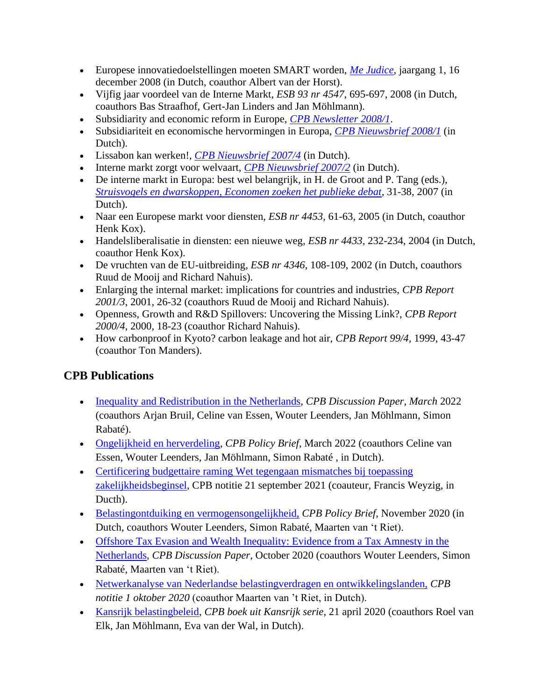- Europese innovatiedoelstellingen moeten SMART worden, *[Me Judice](http://www.mejudice.nl/node/119)*, jaargang 1, 16 december 2008 (in Dutch, coauthor Albert van der Horst).
- Vijfig jaar voordeel van de Interne Markt, *ESB 93 nr 4547*, 695-697, 2008 (in Dutch, coauthors Bas Straafhof, Gert-Jan Linders and Jan Möhlmann).
- Subsidiarity and economic reform in Europe, *[CPB Newsletter 2008/1](http://www.cpb.nl/sites/default/files/publicaties/download/newslettermarch2008.pdf)*.
- Subsidiariteit en economische hervormingen in Europa, *[CPB Nieuwsbrief 2008/1](http://www.cpb.nl/sites/default/files/publicaties/download/nieuwsbriefapril2008.pdf)* (in Dutch).
- Lissabon kan werken!, *[CPB Nieuwsbrief 2007/4](http://www.cpb.nl/sites/default/files/publicaties/download/nieuwsbriefdecember2007.pdf)* (in Dutch).
- Interne markt zorgt voor welvaart, *[CPB Nieuwsbrief 2007/2](http://www.cpb.nl/sites/default/files/publicaties/download/nieuwsbriefjuni2007.pdf)* (in Dutch).
- De interne markt in Europa: best wel belangrijk, in H. de Groot and P. Tang (eds.), *[Struisvogels en dwarskoppen, Economen zoeken het publieke debat,](http://www.henridegroot.net/wp-content/uploads/2011/08/Struisvogels-en-dwarskoppen-binnenwerk.pdf)* 31-38, 2007 (in Dutch).
- Naar een Europese markt voor diensten, *ESB nr 4453*, 61-63, 2005 (in Dutch, coauthor Henk Kox).
- Handelsliberalisatie in diensten: een nieuwe weg*, ESB nr 4433,* 232-234, 2004 (in Dutch, coauthor Henk Kox).
- De vruchten van de EU-uitbreiding, *ESB nr 4346*, 108-109, 2002 (in Dutch, coauthors Ruud de Mooij and Richard Nahuis).
- Enlarging the internal market: implications for countries and industries, *CPB Report 2001/3*, 2001, 26-32 (coauthors Ruud de Mooij and Richard Nahuis).
- Openness, Growth and R&D Spillovers: Uncovering the Missing Link?, *CPB Report 2000/4*, 2000, 18-23 (coauthor Richard Nahuis).
- How carbonproof in Kyoto? carbon leakage and hot air, *CPB Report 99/4,* 1999, 43-47 (coauthor Ton Manders).

# **CPB Publications**

- [Inequality and Redistribution in the Netherlands,](https://www.cpb.nl/en/inequality-and-redistribution-in-the-netherlands) *CPB Discussion Paper, March* 2022 (coauthors Arjan Bruil, Celine van Essen, Wouter Leenders, Jan Möhlmann, Simon Rabaté).
- [Ongelijkheid en herverdeling,](https://www.cpb.nl/ongelijkheid-en-herverdeling) *CPB Policy Brief*, March 2022 (coauthors Celine van Essen, Wouter Leenders, Jan Möhlmann, Simon Rabaté , in Dutch).
- Certificering budgettaire raming Wet tegengaan mismatches bij toepassing [zakelijkheidsbeginsel,](https://www.cpb.nl/macro-economische-verkenning-mev-2022#docid-160631) CPB notitie 21 september 2021 (coauteur, Francis Weyzig, in Ducth).
- [Belastingontduiking en vermogensongelijkheid,](http://www.cpb.nl/belastingontduiking-en-vermogensongelijkheid) *CPB Policy Brief*, November 2020 (in Dutch, coauthors Wouter Leenders, Simon Rabaté, Maarten van 't Riet).
- Offshore Tax Evasion and Wealth Inequality: Evidence from a Tax Amnesty in the [Netherlands,](http://www.cpb.nl/buitenlandse-belastingontduiking-en-vermogensongelijkheid-onderzoek-naar-de-nederlandse) *CPB Discussion Paper,* October 2020 (coauthors Wouter Leenders, Simon Rabaté, Maarten van 't Riet).
- [Netwerkanalyse van Nederlandse belastingverdragen en ontwikkelingslanden,](http://www.cpb.nl/netwerkanalyse-van-nederlandse-belastingverdragen-en-ontwikkelingslanden) *CPB notitie 1 oktober 2020* (coauthor Maarten van 't Riet, in Dutch).
- [Kansrijk belastingbeleid,](http://www.cpb.nl/kansrijk-belastingbeleid) *CPB boek uit Kansrijk serie*, 21 april 2020 (coauthors Roel van Elk, Jan Möhlmann, Eva van der Wal, in Dutch).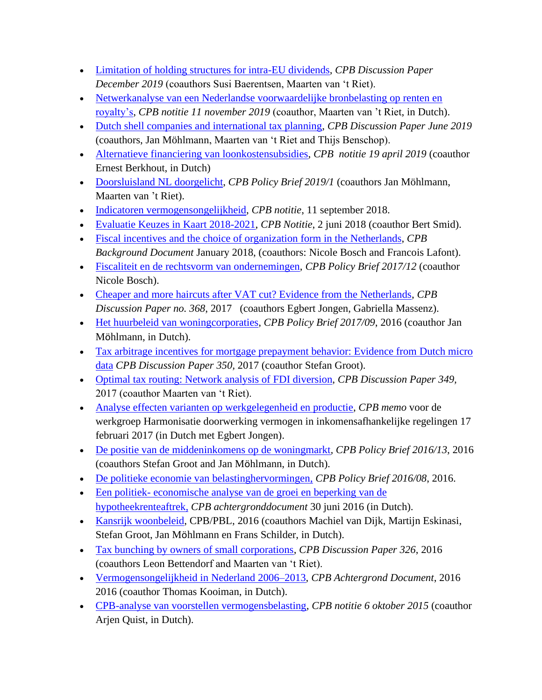- [Limitation of](http://www.cpb.nl/en/limitation-of-holding-structures-for-intra-EU-dividends) holding structures for intra-EU dividends, *CPB Discussion Paper December 2019* (coauthors Susi Baerentsen, Maarten van 't Riet).
- [Netwerkanalyse van een Nederlandse voorwaardelijke bronbelasting op renten en](http://www.cpb.nl/netwerkanalyse-van-een-nederlandse-voorwaardelijke-bronbelasting-op-renten-en-royaltys)  [royalty's,](http://www.cpb.nl/netwerkanalyse-van-een-nederlandse-voorwaardelijke-bronbelasting-op-renten-en-royaltys) *CPB notitie 11 november 2019* (coauthor, Maarten van 't Riet, in Dutch).
- [Dutch shell companies and international tax planning,](http://www.cpb.nl/en/dutch-shell-companies-and-international-tax-planning) *CPB Discussion Paper June 2019* (coauthors, Jan Möhlmann, Maarten van 't Riet and Thijs Benschop).
- [Alternatieve financiering van loonkostensubsidies,](http://www.cpb.nl/alternatieve-financiering-van-loonkostensubsidies) *CPB notitie 19 april 2019* (coauthor Ernest Berkhout, in Dutch)
- [Doorsluisland NL doorgelicht,](http://www.cpb.nl/doorsluisland-nl-doorgelicht) *CPB Policy Brief 2019/1* (coauthors Jan Möhlmann, Maarten van 't Riet).
- [Indicatoren vermogensongelijkheid,](http://www.cpb.nl/sites/default/files/omnidownload/CPB-Notitie-11sept2018-Indicatoren-vermogensongelijkheid.pdf) *CPB notitie*, 11 september 2018.
- [Evaluatie Keuzes in Kaart 2018-2021,](http://www.cpb.nl/publicatie/evaluatie-keuzes-in-kaart-2018-2021) *CPB Notitie*, 2 juni 2018 (coauthor Bert Smid).
- [Fiscal incentives and the choice of organization form in the Netherlands,](http://www.cpb.nl/en/node/159356) *CPB Background Document* January 2018, (coauthors: Nicole Bosch and Francois Lafont).
- [Fiscaliteit en de rechtsvorm van ondernemingen,](http://www.cpb.nl/sites/default/files/omnidownload/CPB-Policy-Brief-2017-12-Fiscaliteit-en-de-rechtsvorm-van-ondernemingen.pdf) *CPB Policy Brief 2017/12* (coauthor Nicole Bosch).
- [Cheaper and more haircuts after VAT cut? Evidence from the Netherlands,](http://www.cpb.nl/publicatie/goedkoper-geknipt-maar-ook-vaker-de-btw-verlaging-voor-kappersdiensten) *CPB Discussion Paper no. 368*, 2017 (coauthors Egbert Jongen, Gabriella Massenz).
- [Het huurbeleid van woningcorporaties,](http://www.cpb.nl/publicatie/het-huurbeleid-van-woningcorporaties) *CPB Policy Brief 2017/09*, 2016 (coauthor Jan Möhlmann, in Dutch).
- Tax arbitrage incentives for mortgage prepayment behavior: Evidence from Dutch micro [data](http://www.cpb.nl/en/publication/tax-arbitrage-incentives-for-mortgage-prepayment-behavior-evidence-from-dutch-micro-data) *CPB Discussion Paper 350,* 2017 (coauthor Stefan Groot).
- [Optimal tax routing: Network analysis of FDI diversion,](http://www.cpb.nl/en/publication/optimal-tax-routing-network-analysis-fdi-diversion) *CPB Discussion Paper 349,* 2017 (coauthor Maarten van 't Riet).
- [Analyse effecten varianten op werkgelegenheid en productie,](https://www.rijksoverheid.nl/onderwerpen/fiscale-beleidsdocumenten/documenten/rapporten/2017/03/28/rapport-harmonisatie-doorwerking-vermogen) *CPB memo* voor de werkgroep Harmonisatie doorwerking vermogen in inkomensafhankelijke regelingen 17 februari 2017 (in Dutch met Egbert Jongen).
- [De positie van de middeninkomens op de woningmarkt](https://www.cpb.nl/publicatie/de-positie-van-de-middeninkomens-op-de-woningmarkt)*, CPB Policy Brief 2016/13*, 2016 (coauthors Stefan Groot and Jan Möhlmann, in Dutch).
- [De politieke economie van belastinghervormingen,](http://www.cpb.nl/publicatie/de-politieke-economie-van-belastinghervormingen) *CPB Policy Brief 2016/08*, 2016.
- Een politiek- [economische analyse van de groei en beperking van de](http://www.cpb.nl/publicatie/een-politiek-economische-analyse-van-de-groei-en-beperking-van-de-hypotheekrenteaftrek)  [hypotheekrenteaftrek,](http://www.cpb.nl/publicatie/een-politiek-economische-analyse-van-de-groei-en-beperking-van-de-hypotheekrenteaftrek) *CPB achtergronddocument* 30 juni 2016 (in Dutch).
- [Kansrijk woonbeleid,](http://www.cpb.nl/publicatie/kansrijk-woonbeleid) CPB/PBL, 2016 (coauthors Machiel van Dijk, Martijn Eskinasi, Stefan Groot, Jan Möhlmann en Frans Schilder, in Dutch).
- [Tax bunching by owners of small corporations,](http://www.cpb.nl/en/publication/tax-bunching-by-owners-of-small-corporations) *CPB Discussion Paper 326*, 2016 (coauthors Leon Bettendorf and Maarten van 't Riet).
- [Vermogensongelijkheid in Nederland 2006–2013,](http://www.cpb.nl/publicatie/vermogensongelijkheid-in-nederland-2006-2013) *CPB Achtergrond Document*, 2016 2016 (coauthor Thomas Kooiman, in Dutch).
- [CPB-analyse van voorstellen vermogensbelasting,](http://www.cpb.nl/publicatie/cpb-analyse-van-voorstellen-vermogensbelasting) *CPB notitie 6 oktober 2015* (coauthor Arjen Quist, in Dutch).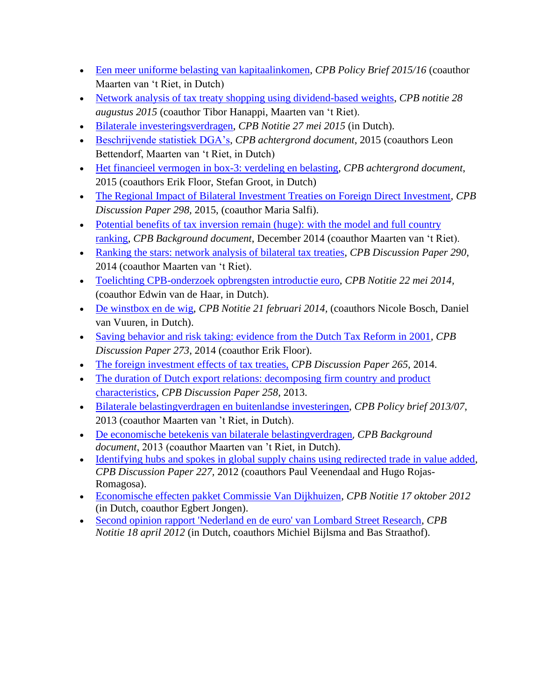- [Een meer uniforme belasting van kapitaalinkomen,](http://www.cpb.nl/publicatie/een-meer-uniforme-belasting-van-kapitaalinkomen) *CPB Policy Brief 2015/16* (coauthor Maarten van 't Riet, in Dutch)
- [Network analysis of tax treaty shopping using dividend-based weights,](http://www.cpb.nl/en/publication/network-analysis-of-tax-treaty-shopping-using-dividend-based-weights) *CPB notitie 28 augustus 2015* (coauthor Tibor Hanappi, Maarten van 't Riet).
- [Bilaterale investeringsverdragen,](http://www.cpb.nl/publicatie/bilaterale-investeringsverdragen) *CPB Notitie 27 mei 2015* (in Dutch).
- [Beschrijvende statistiek DGA's,](http://www.cpb.nl/publicatie/beschrijvende-statistiek-dgas) *CPB achtergrond document*, 2015 (coauthors Leon Bettendorf, Maarten van 't Riet, in Dutch)
- [Het financieel vermogen in box-3: verdeling en belasting,](http://www.cpb.nl/publicatie/het-financieel-vermogen-in-box-3-verdeling-en-belasting) *CPB achtergrond document*, 2015 (coauthors Erik Floor, Stefan Groot, in Dutch)
- [The Regional Impact of Bilateral Investment Treaties on Foreign Direct Investment,](http://www.cpb.nl/en/publication/the-regional-impact-of-bilateral-investment-treaties-on-foreign-direct-investment) *CPB Discussion Paper 298,* 2015, (coauthor Maria Salfi).
- Potential benefits of tax inversion remain (huge): with the model and full country [ranking,](http://www.cpb.nl/en/publication/potential-benefits-tax-inversion-remain-huge-with-the-model-and-full-country-ranking) *CPB Background document*, December 2014 (coauthor Maarten van 't Riet).
- [Ranking the stars: network analysis of bilateral tax treaties,](http://www.cpb.nl/en/publication/ranking-the-stars-network-analysis-of-bilateral-tax-treaties) *CPB Discussion Paper 290*, 2014 (coauthor Maarten van 't Riet).
- [Toelichting CPB-onderzoek opbrengsten introductie euro,](http://www.cpb.nl/publicatie/toelichting-cpb-onderzoek-opbrengsten-introductie-euro) *CPB Notitie 22 mei 2014,* (coauthor Edwin van de Haar, in Dutch).
- [De winstbox en de wig,](http://www.cpb.nl/publicatie/de-winstbox-en-de-wig) *CPB Notitie 21 februari 2014,* (coauthors Nicole Bosch, Daniel van Vuuren, in Dutch).
- [Saving behavior and risk taking: evidence from the Dutch Tax Reform in 2001,](http://www.cpb.nl/en/publication/saving-behavior-and-risk-taking-evidence-from-the-dutch-tax-reform-in-2001) *CPB Discussion Paper 273*, 2014 (coauthor Erik Floor).
- [The foreign investment effects](http://www.cpb.nl/en/publication/foreign-investment-effects-tax-treaties) of tax treaties, *CPB Discussion Paper 265*, 2014.
- The duration of Dutch export relations: decomposing firm country and product [characteristics,](http://www.cpb.nl/en/publication/duration-dutch-export-relations-decomposing-firm-country-and-product-characteristics) *CPB Discussion Paper 258*, 2013.
- Bilaterale [belastingverdragen](http://www.cpb.nl/publicatie/bilaterale-belastingsverdragen-en-buitenlandse-investeringen) en buitenlandse investeringen, *CPB Policy brief 2013/07*, 2013 (coauthor Maarten van 't Riet, in Dutch).
- De [economische betekenis van bilaterale belastingverdragen](http://www.cpb.nl/publicatie/de-economische-betekenis-van-bilaterale-belastingverdragen), *CPB Background document*, 2013 (coauthor Maarten van 't Riet, in Dutch).
- [Identifying hubs and spokes in global supply chains using redirected trade in value added,](http://www.cpb.nl/en/publication/identifying-hubs-and-spokes-global-supply-chains-using-redirected-trade-value-added) *CPB Discussion Paper 227,* 2012 (coauthors Paul Veenendaal and Hugo Rojas-Romagosa).
- [Economische effecten pakket Commissie Van Dijkhuizen,](http://www.cpb.nl/publicatie/economische-effecten-pakket-commissie-van-dijkhuizen) *CPB Notitie 17 oktober 2012* (in Dutch, coauthor Egbert Jongen).
- [Second opinion rapport 'Nederland en de euro' van Lombard Street Research,](http://www.cpb.nl/publicatie/second-opinion-rapport-nederland-en-de-euro-van-lombard-street-research) *CPB Notitie 18 april 2012* (in Dutch, coauthors Michiel Bijlsma and Bas Straathof).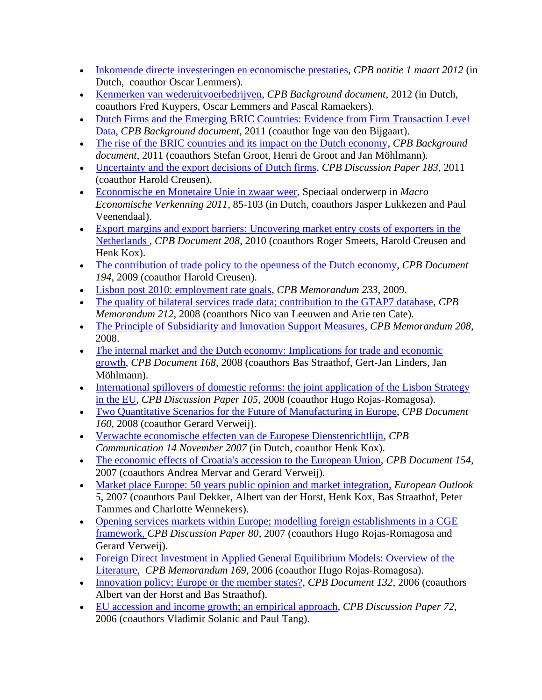- [Inkomende directe investeringen en economische prestaties,](http://www.cpb.nl/publicatie/inkomende-directe-investeringen-en-economische-prestaties) *CPB notitie 1 maart 2012* (in Dutch, coauthor Oscar Lemmers).
- [Kenmerken van wederuitvoerbedrijven,](http://www.cpb.nl/publicatie/kenmerken-van-wederuitvoerbedrijven) *CPB Background document*, 2012 (in Dutch, coauthors Fred Kuypers, Oscar Lemmers and Pascal Ramaekers).
- Dutch Firms and the Emerging BRIC Countries: Evidence from Firm Transaction Level [Data,](http://www.cpb.nl/en/publication/dutch-firms-and-emerging-bric-countries-evidence-firm-transaction-level-data) *CPB Background document*, 2011 (coauthor Inge van den Bijgaart).
- [The rise of the BRIC countries and its impact on the Dutch economy,](http://www.cpb.nl/en/publication/rise-bric-countries-and-its-impact-dutch-economy) *CPB Background document*, 2011 (coauthors Stefan Groot, Henri de Groot and Jan Möhlmann).
- [Uncertainty and the export decisions of Dutch firms,](http://www.cpb.nl/en/publication/uncertainty-and-export-decisions-dutch-firms) *CPB Discussion Paper 183*, 2011 (coauthor Harold Creusen).
- [Economische en Monetaire Unie in zwaar weer,](http://www.cpb.nl/en/publication/macro-economic-outlook-mev-2011) Speciaal onderwerp in *Macro Economische Verkenning 2011*, 85-103 (in Dutch, coauthors Jasper Lukkezen and Paul Veenendaal).
- [Export margins and export barriers: Uncovering market entry costs of exporters in the](http://www.cpb.nl/sites/default/files/publicaties/download/export-margins-and-export-barriers-uncovering-market-entry-costs-exporters-netherlands.pdf)  [Netherlands ,](http://www.cpb.nl/sites/default/files/publicaties/download/export-margins-and-export-barriers-uncovering-market-entry-costs-exporters-netherlands.pdf) *CPB Document 208*, 2010 (coauthors Roger Smeets, Harold Creusen and Henk Kox).
- [The contribution of trade policy to the openness of the Dutch economy,](http://www.cpb.nl/sites/default/files/publicaties/download/contribution-trade-policy-openness-dutch-economy.pdf) *CPB Document 194*, 2009 (coauthor Harold Creusen).
- [Lisbon post 2010: employment rate goals,](http://www.cpb.nl/sites/default/files/publicaties/download/memo233.pdf) *CPB Memorandum 233*, 2009.
- [The quality of bilateral services trade data; contribution to the GTAP7 database,](http://www.cpb.nl/sites/default/files/publicaties/download/memo212.pdf) *CPB Memorandum 212*, 2008 (coauthors Nico van Leeuwen and Arie ten Cate).
- [The Principle of Subsidiarity and Innovation Support Measures,](file:///G:/pub/cpbreeksen/memorandum/208/) *CPB Memorandum 208*, 2008.
- The internal market and the Dutch economy: Implications for trade and economic [growth,](http://www.cpb.nl/sites/default/files/publicaties/download/internal-market-and-dutch-economy-implications-trade-and-economic-growth.pdf) *CPB Document 168*, 2008 (coauthors Bas Straathof, Gert-Jan Linders, Jan Möhlmann).
- International spillovers of domestic reforms: the joint application of the Lisbon Strategy [in the EU,](http://www.cpb.nl/sites/default/files/publicaties/download/international-spillovers-domestic-reforms-joint-application-lisbon-strategy-eu.pdf) *CPB Discussion Paper 105,* 2008 (coauthor Hugo Rojas-Romagosa).
- [Two Quantitative Scenarios for the Future of Manufacturing in](http://www.cpb.nl/sites/default/files/publicaties/download/two-quantative-scenarios-future-manufacturing-europe.pdf) Europe, *CPB Document 160*, 2008 (coauthor Gerard Verweij).
- [Verwachte economische effecten van de Europese Dienstenrichtlijn,](http://www.cpb.nl/sites/default/files/publicaties/download/verwachte-economische-effecten-van-de-europese-dienstenrichtlijn.pdf) *CPB Communication 14 November 2007* (in Dutch, coauthor Henk Kox).
- [The economic effects of Croatia's accession to the European Union,](http://www.cpb.nl/sites/default/files/publicaties/download/economic-effects-croatias-accession-eu.pdf) *CPB Document 154*, 2007 (coauthors Andrea Mervar and Gerard Verweij).
- [Market place Europe: 50 years public opinion and market integration,](http://www.cpb.nl/sites/default/files/publicaties/download/bijz68.pdf) *European Outlook 5*, 2007 (coauthors Paul Dekker, Albert van der Horst, Henk Kox, Bas Straathof, Peter Tammes and Charlotte Wennekers).
- Opening services markets within Europe; modelling foreign establishments in a CGE [framework,](http://www.cpb.nl/sites/default/files/publicaties/download/opening-services-markets-within-europe-modelling-foreign-establishments-cge-framework.pdf) *CPB Discussion Paper 80*, 2007 (coauthors Hugo Rojas-Romagosa and Gerard Verweij).
- Foreign Direct Investment in Applied General Equilibrium Models: Overview of the [Literature,](http://www.cpb.nl/sites/default/files/publicaties/download/memo169.pdf) *CPB Memorandum 169,* 2006 (coauthor Hugo Rojas-Romagosa).
- [Innovation policy; Europe or the member states?,](http://www.cpb.nl/sites/default/files/publicaties/download/innovation-policy-europe-or-member-states.pdf) *CPB Document 132*, 2006 (coauthors Albert van der Horst and Bas Straathof).
- [EU accession and income growth; an empirical approach,](http://www.cpb.nl/sites/default/files/publicaties/download/eu-accession-and-income-growth-empirical-approach.pdf) *CPB Discussion Paper 72*, 2006 (coauthors Vladimir Solanic and Paul Tang).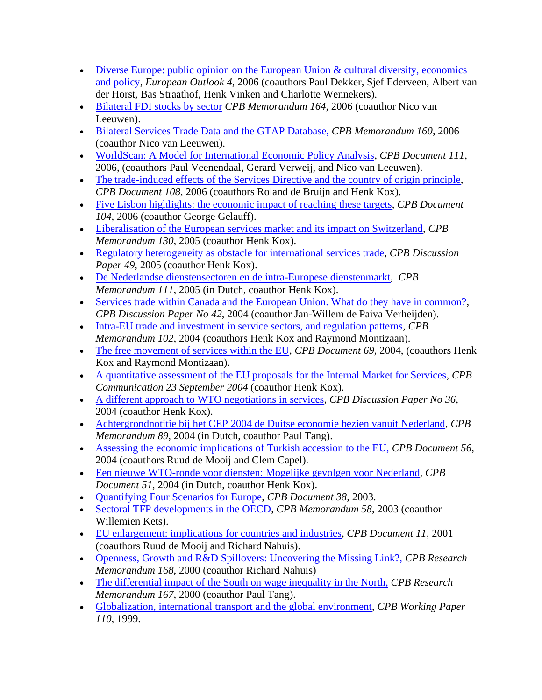- Diverse Europe: public opinion on the European Union & cultural diversity, economics [and policy,](http://www.cpb.nl/sites/default/files/publicaties/download/bijz63.pdf) *European Outlook 4*, 2006 (coauthors Paul Dekker, Sjef Ederveen, Albert van der Horst, Bas Straathof, Henk Vinken and Charlotte Wennekers).
- [Bilateral FDI stocks by sector](http://www.cpb.nl/sites/default/files/publicaties/download/memo164.pdf) *CPB Memorandum 164*, 2006 (coauthor Nico van Leeuwen).
- [Bilateral Services Trade Data and the GTAP Database,](http://www.cpb.nl/sites/default/files/publicaties/download/memo160.pdf) *CPB Memorandum 160*, 2006 (coauthor Nico van Leeuwen).
- [WorldScan: A Model for International Economic Policy Analysis,](http://www.cpb.nl/sites/default/files/publicaties/download/worldscan-model-international-economic-policy-analysis.pdf) *CPB Document 111*, 2006, (coauthors Paul Veenendaal, Gerard Verweij, and Nico van Leeuwen).
- [The trade-induced effects of the Services Directive and the country of origin principle,](http://www.cpb.nl/sites/default/files/publicaties/download/trade-induced-effects-services-directive-and-country-origin-principle.pdf) *CPB Document 108*, 2006 (coauthors Roland de Bruijn and Henk Kox).
- [Five Lisbon highlights: the economic impact of reaching these targets,](http://www.cpb.nl/sites/default/files/publicaties/download/five-lisbon-highlights-economic-impact-reaching-these-targets.pdf) *CPB Document 104*, 2006 (coauthor George Gelauff).
- [Liberalisation of the European services market and its impact on Switzerland,](http://www.cpb.nl/sites/default/files/publicaties/download/memo130.pdf) *CPB Memorandum 130*, 2005 (coauthor Henk Kox).
- [Regulatory heterogeneity as obstacle for international services trade,](http://www.cpb.nl/sites/default/files/publicaties/download/regulatory-heterogeneity-obstacle-international-services-trade.pdf) *CPB Discussion* Paper 49, 2005 (coauthor Henk Kox).
- [De Nederlandse dienstensectoren en de intra-Europese dienstenmarkt,](http://www.cpb.nl/sites/default/files/publicaties/download/memo111.pdf) *CPB Memorandum 111*, 2005 (in Dutch, coauthor Henk Kox).
- [Services trade within Canada and the European Union. What do they have in common?,](http://www.cpb.nl/sites/default/files/publicaties/download/services-trade-within-canada-and-european-union-what-do-they-have-common.pdf) *CPB Discussion Paper No 42*, 2004 (coauthor Jan-Willem de Paiva Verheijden).
- [Intra-EU trade and investment in service sectors, and regulation patterns,](http://www.cpb.nl/sites/default/files/publicaties/download/memo102.pdf) *CPB Memorandum 102*, 2004 (coauthors Henk Kox and Raymond Montizaan).
- [The free movement of services within the EU,](http://www.cpb.nl/sites/default/files/publicaties/download/free-movement-services-within-eu.pdf) *CPB Document 69*, 2004, (coauthors Henk Kox and Raymond Montizaan).
- [A quantitative assessment of the EU proposals for the Internal Market for Services,](http://www.cpb.nl/sites/default/files/publicaties/download/ia-quantitative-assessment-eu-proposals-internal-market-servicesi.pdf) *CPB Communication 23 September 2004* (coauthor Henk Kox).
- [A different approach to WTO negotiations in services,](http://www.cpb.nl/sites/default/files/publicaties/download/different-approach-wto-negotiations-services.pdf) *CPB Discussion Paper No 36*, 2004 (coauthor Henk Kox).
- [Achtergrondnotitie bij het CEP 2004 de Duitse economie bezien vanuit Nederland,](http://www.cpb.nl/sites/default/files/publicaties/download/memo89.pdf) *CPB Memorandum 89*, 2004 (in Dutch, coauthor Paul Tang).
- [Assessing the economic implications of Turkish accession to the EU,](http://www.cpb.nl/sites/default/files/publicaties/download/assessing-economic-implications-turkish-accession-eu.pdf) *CPB Document 56*, 2004 (coauthors Ruud de Mooij and Clem Capel).
- [Een nieuwe WTO-ronde voor diensten: Mogelijke gevolgen voor Nederland,](http://www.cpb.nl/sites/default/files/publicaties/download/een-nieuwe-wto-ronde-voor-diensten-mogelijke-effecten-voor-nederland.pdf) *CPB Document 51*, 2004 (in Dutch, coauthor Henk Kox).
- [Quantifying Four Scenarios for Europe,](http://www.cpb.nl/sites/default/files/publicaties/download/quantifying-four-scenarios-europe.pdf) *CPB Document 38,* 2003.
- [Sectoral TFP developments in the OECD,](http://www.cpb.nl/sites/default/files/publicaties/download/memo58.pdf) *CPB Memorandum 58*, 2003 (coauthor Willemien Kets).
- [EU enlargement: implications](http://www.cpb.nl/sites/default/files/publicaties/download/eu-enlargement-economic-implications-countries-and-industries.pdf) for countries and industries, *CPB Document 11*, 2001 (coauthors Ruud de Mooij and Richard Nahuis).
- [Openness, Growth and R&D Spillovers: Uncovering the Missing Link?,](http://www.cpb.nl/sites/default/files/publicaties/download/openness-growth-and-rd-spillovers-uncovering-missing-link.pdf) *CPB Research Memorandum 168*, 2000 (coauthor Richard Nahuis)
- [The differential impact of the South on wage inequality in the North,](http://www.cpb.nl/sites/default/files/publicaties/download/differential-impact-south-wage-inequality-north.pdf) *CPB Research Memorandum 167*, 2000 (coauthor Paul Tang).
- [Globalization, international transport and the global environment,](http://www.cpb.nl/sites/default/files/publicaties/download/globalization-international-transport-and-global-environment-four-quantitative-scenarios.pdf) *CPB Working Paper 110*, 1999.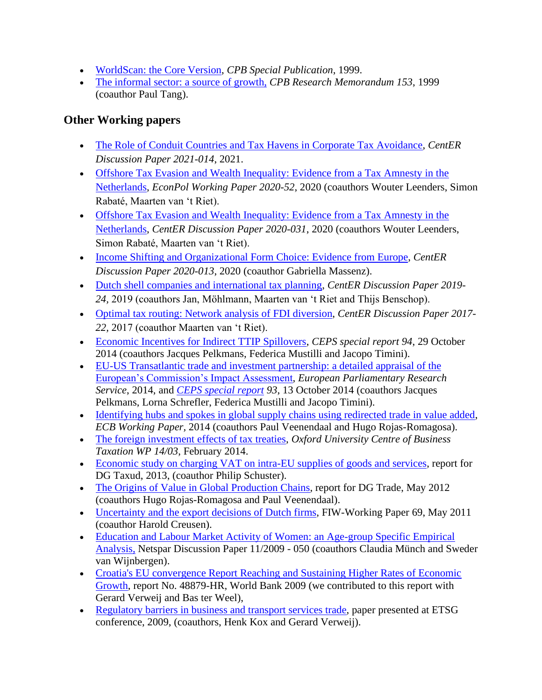- [WorldScan: the Core Version,](http://www.cpb.nl/sites/default/files/publicaties/download/scanning-future-contents-summary-introduction.pdf) *CPB Special Publication*, 1999.
- [The informal sector: a source of growth,](http://www.cpb.nl/sites/default/files/publicaties/download/informal-sector-source-growth.pdf) *CPB Research Memorandum 153*, 1999 (coauthor Paul Tang).

### <span id="page-11-0"></span>**Other Working papers**

- [The Role of Conduit Countries and Tax Havens in Corporate Tax Avoidance,](https://research.tilburguniversity.edu/en/publications/the-role-of-conduit-countries-and-tax-havens-in-corporate-tax-avo) *CentER Discussion Paper 2021-014*, 2021.
- Offshore Tax Evasion and Wealth Inequality: Evidence from a Tax Amnesty in the [Netherlands,](•%09https:/www.econpol.eu/sites/default/files/2020-12/EconPol_Working_Paper_52_Offshore_Tax_Evasion.pdf) *EconPol Working Paper 2020-52*, 2020 (coauthors Wouter Leenders, Simon Rabaté, Maarten van 't Riet).
- [Offshore Tax Evasion and Wealth Inequality: Evidence from a Tax Amnesty in the](https://research.tilburguniversity.edu/en/publications/offshore-tax-evasion-and-wealth-inequality-evidence-from-a-tax-am/?_ga=2.128925900.1500035550.1605514859-1437553838.1566298306)  [Netherlands,](https://research.tilburguniversity.edu/en/publications/offshore-tax-evasion-and-wealth-inequality-evidence-from-a-tax-am/?_ga=2.128925900.1500035550.1605514859-1437553838.1566298306) *CentER Discussion Paper 2020-031*, 2020 (coauthors Wouter Leenders, Simon Rabaté, Maarten van 't Riet).
- [Income Shifting and Organizational Form Choice: Evidence from Europe,](https://pure.uvt.nl/admin/files/32905879/2020_013complete.pdf) *CentER Discussion Paper 2020-013*, 2020 (coauthor Gabriella Massenz).
- [Dutch shell companies and international tax planning,](https://pure.uvt.nl/ws/portalfiles/portal/30482709/2019_024.pdf) *CentER Discussion Paper 2019- 24,* 2019 (coauthors Jan, Möhlmann, Maarten van 't Riet and Thijs Benschop).
- [Optimal tax routing: Network analysis of](https://pure.uvt.nl/ws/files/16257164/2017_022.pdf) FDI diversion, *CentER Discussion Paper 2017- 22,* 2017 (coauthor Maarten van 't Riet).
- [Economic Incentives for Indirect TTIP Spillovers,](http://www.ceps.eu/book/economic-incentives-indirect-ttip-spillovers) *CEPS special report 94*, 29 October 2014 (coauthors Jacques Pelkmans, Federica Mustilli and Jacopo Timini).
- [EU-US Transatlantic trade and investment partnership: a detailed appraisal of the](http://www.europarl.europa.eu/RegData/etudes/etudes/join/2014/528798/IPOL-JOIN_ET%282014%29528798_EN.pdf)  [European's Commission's Impact Assessment,](http://www.europarl.europa.eu/RegData/etudes/etudes/join/2014/528798/IPOL-JOIN_ET%282014%29528798_EN.pdf) *European Parliamentary Research Service*, 2014, and *[CEPS special report](http://www.ceps.eu/book/impact-ttip-underlying-economic-model-and-comparisons) 93*, 13 October 2014 (coauthors Jacques Pelkmans, Lorna Schrefler, Federica Mustilli and Jacopo Timini).
- [Identifying hubs and spokes in global supply chains using redirected trade in value added,](http://www.ecb.europa.eu/pub/pdf/scpwps/ecbwp1670.pdf) *ECB Working Paper,* 2014 (coauthors Paul Veenendaal and Hugo Rojas-Romagosa).
- [The foreign investment effects of tax treaties,](http://www.sbs.ox.ac.uk/sites/default/files/Business_Taxation/Docs/Publications/Working_Papers/series-14/WP1403.pdf) *Oxford University Centre of Business Taxation WP 14/03*, February 2014.
- [Economic study on charging VAT on intra-EU supplies of goods and services,](https://circabc.europa.eu/sd/a/60e05641-2653-4ac3-aca2-3060896aa6e3/33-ANN%20-%20Final%20report%20-%20Study%20on%20charging%20VAT%20on%20intra-EU%20supplies%20of%20goods%20and%20services%5B1%5D.pdf) report for DG Taxud, 2013, (coauthor Philip Schuster).
- [The Origins of Value in Global](http://trade.ec.europa.eu/doclib/docs/2012/may/tradoc_149512.05.pdf) Production Chains, report for DG Trade, May 2012 (coauthors Hugo Rojas-Romagosa and Paul Veenendaal).
- [Uncertainty and the export decisions of Dutch firms,](http://www.fiw.ac.at/fileadmin/Documents/Publikationen/Working_Paper/N_069-Creusen-Lejour.pdf) FIW-Working Paper 69, May 2011 (coauthor Harold Creusen).
- Education and Labour Market Activity of Women: an Age-group Specific Empirical [Analysis,](http://arno.uvt.nl/show.cgi?fid=99548) Netspar Discussion Paper 11/2009 - 050 (coauthors Claudia Münch and Sweder van Wijnbergen).
- Croatia's EU convergence Report Reaching and Sustaining Higher Rates of Economic [Growth,](http://www.worldbank.hr/WBSITE/EXTERNAL/COUNTRIES/ECAEXT/CROATIAEXTN/0,,contentMDK:22294293~menuPK:50003484~pagePK:2865066~piPK:2865079~theSitePK:301245,00.html) report No. 48879-HR, World Bank 2009 (we contributed to this report with Gerard Verweij and Bas ter Weel),
- [Regulatory barriers in business and transport services trade,](http://www.etsg.org/ETSG2009/papers/lejour.pdf) paper presented at ETSG conference, 2009, (coauthors, Henk Kox and Gerard Verweij).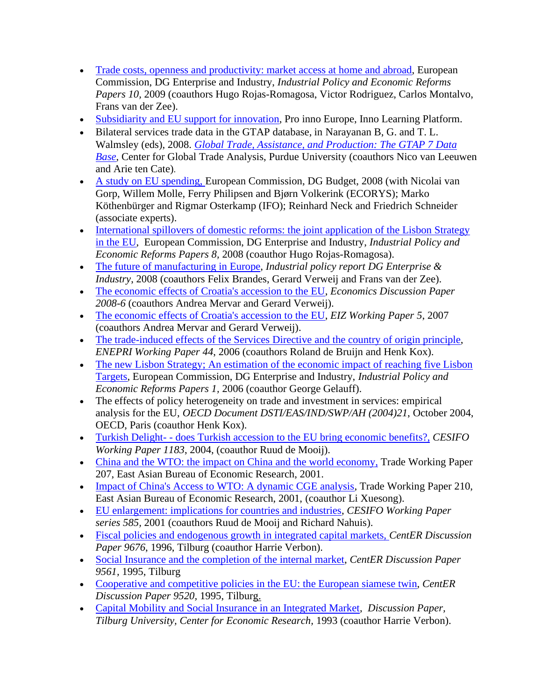- [Trade costs, openness and productivity: market access at home and abroad,](http://ec.europa.eu/enterprise/enterprise_policy/competitiveness/3_indpol/industrial_policy.htm) European Commission, DG Enterprise and Industry, *Industrial Policy and Economic Reforms Papers 10,* 2009 (coauthors Hugo Rojas-Romagosa, Victor Rodriguez, Carlos Montalvo, Frans van der Zee).
- [Subsidiarity and EU support for innovation,](http://www.proinno-europe.eu/admin/uploaded.../Mini-study_3-final.pdf) Pro inno Europe, Inno Learning Platform.
- Bilateral services trade data in the GTAP database, in Narayanan B, G. and T. L. Walmsley (eds), 2008. *[Global Trade, Assistance, and Production: The GTAP 7 Data](https://www.gtap.agecon.purdue.edu/databases/v7/v7_doco.asp)  [Base](https://www.gtap.agecon.purdue.edu/databases/v7/v7_doco.asp)*, Center for Global Trade Analysis, Purdue University (coauthors Nico van Leeuwen and Arie ten Cate).
- [A study on EU spending, E](http://ec.europa.eu/budget/reform/library/issue_paper/study_EUspending_en.pdf)uropean Commission, DG Budget, 2008 (with Nicolai van Gorp, Willem Molle, Ferry Philipsen and Bjørn Volkerink (ECORYS); Marko Köthenbürger and Rigmar Osterkamp (IFO); Reinhard Neck and Friedrich Schneider (associate experts).
- International spillovers of domestic reforms: the joint application of the Lisbon Strategy [in the EU,](http://ec.europa.eu/enterprise/enterprise_policy/competitiveness/3_indpol/industrial_policy.htm) European Commission, DG Enterprise and Industry, *Industrial Policy and Economic Reforms Papers 8,* 2008 (coauthor Hugo Rojas-Romagosa).
- [The future of manufacturing in](http://ec.europa.eu/enterprise/enterprise_policy/industry/index_en.htm) Europe, *Industrial policy report DG Enterprise & Industry*, 2008 (coauthors Felix Brandes, Gerard Verweij and Frans van der Zee).
- [The economic effects of Croatia's accession to the EU,](http://www.economics-ejournal.org/economics/discussionpapers/2008-6) *Economics Discussion Paper 2008-6* (coauthors Andrea Mervar and Gerard Verweij).
- [The economic effects of Croatia's accession to the EU,](http://www.eizg.hr/Item.aspx?Id=297&lang=2) *EIZ Working Paper 5*, 2007 (coauthors Andrea Mervar and Gerard Verweij).
- [The trade-induced effects of the Services Directive and the country of origin principle,](http://www.enepri.org/) *ENEPRI Working Paper 44*, 2006 (coauthors Roland de Bruijn and Henk Kox).
- The new Lisbon Strategy; An estimation of the economic impact of reaching five Lisbon [Targets,](http://ec.europa.eu/growthandjobs/key/index_en.htm) European Commission, DG Enterprise and Industry, *Industrial Policy and Economic Reforms Papers 1,* 2006 (coauthor George Gelauff).
- The effects of policy heterogeneity on trade and investment in services: empirical analysis for the EU, *OECD Document DSTI/EAS/IND/SWP/AH (2004)21*, October 2004, OECD, Paris (coauthor Henk Kox).
- Turkish Delight- does [Turkish accession to the EU bring economic benefits?,](http://www.cesifo-group.de/portal/page?_pageid=36,302752&_dad=portal&_schema=PORTAL&p_file_id=8275) *CESIFO Working Paper 1183*, 2004, (coauthor Ruud de Mooij).
- [China and the WTO: the impact on China and the world economy,](http://econpapers.repec.org/paper/eabtradew/207.htm) Trade Working Paper 207, East Asian Bureau of Economic Research, 2001.
- [Impact of China's Access to WTO: A dynamic CGE analysis,](http://econpapers.repec.org/paper/eabtradew/210.htm) Trade Working Paper 210, East Asian Bureau of Economic Research, 2001, (coauthor Li Xuesong).
- [EU enlargement: implications for countries and industries,](http://www.cesifo-group.de/portal/page?_pageid=36,302752&_dad=portal&_schema=PORTAL&p_file_id=5473) *CESIFO Working Paper series 585,* 2001 (coauthors Ruud de Mooij and Richard Nahuis).
- [Fiscal policies and endogenous growth in integrated capital markets,](http://greywww.kub.nl:2080/greyfiles/center/1996/76.html) *CentER Discussion Paper 9676*, 1996, Tilburg (coauthor Harrie Verbon).
- [Social Insurance and the completion of the internal market,](http://greywww.kub.nl:2080/greyfiles/center/1995/61.html) *CentER Discussion Paper 9561,* 1995, Tilburg
- [Cooperative and competitive policies in the EU: the European siamese twin,](http://greywww.kub.nl:2080/greyfiles/center/1995/20.html) *CentER Discussion Paper 9520,* 1995, Tilburg.
- [Capital Mobility and Social Insurance in an Integrated Market,](file:///G:/paper/fthtilbur/9379.htm) *Discussion Paper, Tilburg University, Center for Economic Research,* 1993 (coauthor Harrie Verbon).